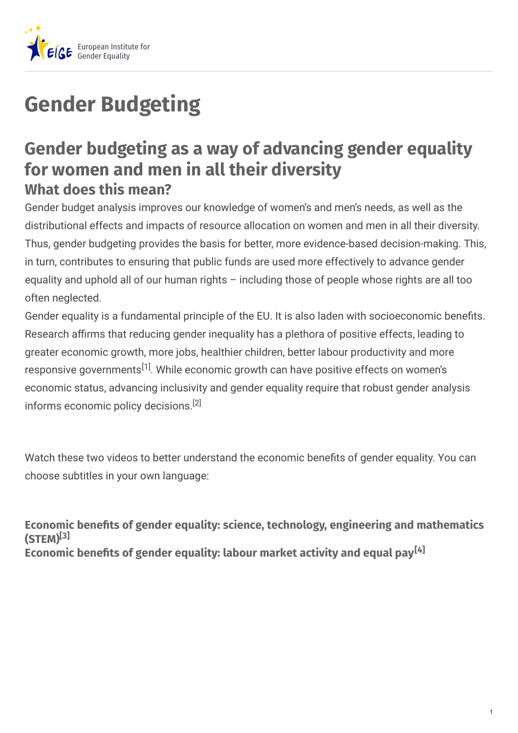

## **Gender Budgeting**

## **Gender budgeting as a way of advancing gender equality for women and men in all their diversity What does this mean?**

Gender budget analysis improves our knowledge of women's and men's needs, as well as the distributional effects and impacts of resource allocation on women and men in all their diversity. Thus, gender budgeting provides the basis for better, more evidence-based decision-making. This, in turn, contributes to ensuring that public funds are used more effectively to advance gender equality and uphold all of our human rights – including those of people whose rights are all too often neglected.

Gender equality is a fundamental principle of the EU. It is also laden with socioeconomic benefits. Research affirms that reducing gender inequality has a plethora of positive effects, leading to greater economic growth, more jobs, healthier children, better labour productivity and more responsive governments<sup>[1]</sup>. While economic growth can have positive effects on women's economic status, advancing inclusivity and gender equality require that robust gender analysis informs economic policy decisions. [2]

Watch these two videos to better understand the economic benefits of gender equality. You can choose subtitles in your own language:

**Economic benets of gender equality: science, technology, engineering and mathematics (STEM) [3] Economic benets of gender equality: labour market activity and equal pay [4]**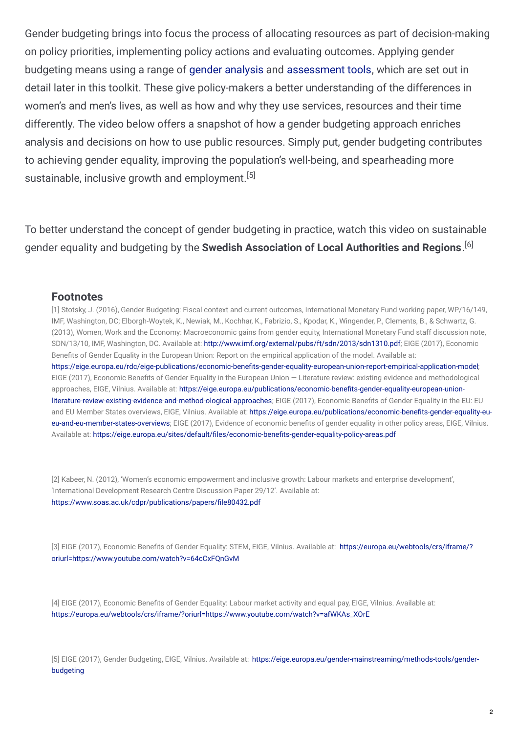Gender budgeting brings into focus the process of allocating resources as part of decision-making on policy priorities, implementing policy actions and evaluating outcomes. Applying gender budgeting means using a range of gender [analysis](https://eige.europa.eu/gender-mainstreaming/methods-tools/gender-analysis) and [assessment](https://eige.europa.eu/gender-mainstreaming/toolkits/gender-impact-assessment) tools, which are set out in detail later in this toolkit. These give policy-makers a better understanding of the differences in women's and men's lives, as well as how and why they use services, resources and their time differently. The video below offers a snapshot of how a gender budgeting approach enriches analysis and decisions on how to use public resources. Simply put, gender budgeting contributes to achieving gender equality, improving the population's well-being, and spearheading more sustainable, inclusive growth and employment.<sup>[5]</sup>

To better understand the concept of gender budgeting in practice, watch this video on sustainable gender equality and budgeting by the **Swedish Association of Local Authorities and Regions**. [6]

## **Footnotes**

[1] Stotsky, J. (2016), Gender Budgeting: Fiscal context and current outcomes, International Monetary Fund working paper, WP/16/149, IMF, Washington, DC; Elborgh-Woytek, K., Newiak, M., Kochhar, K., Fabrizio, S., Kpodar, K., Wingender, P., Clements, B., & Schwartz, G. (2013), Women, Work and the Economy: Macroeconomic gains from gender equity, International Monetary Fund staff discussion note, SDN/13/10, IMF, Washington, DC. Available at: <http://www.imf.org/external/pubs/ft/sdn/2013/sdn1310.pdf>; EIGE (2017), Economic Benefits of Gender Equality in the European Union: Report on the empirical application of the model. Available at: https://eige.europa.eu/rdc/eige-publications/economic-benefits-gender-equality-european-union-report-empirical-application-model; EIGE (2017), Economic Benefits of Gender Equality in the European Union – Literature review: existing evidence and methodological approaches, EIGE, Vilnius. Available at: https://eige.europa.eu/publications/economic-benefits-gender-equality-european-unionliterature-review-existing-evidence-and-method-ological-approaches; EIGE (2017), Economic Benefits of Gender Equality in the EU: EU and EU Member States overviews, EIGE, Vilnius. Available at: https://eige.europa.eu/publications/economic-benefits-gender-equality-eueu-and-eu-member-states-overviews; EIGE (2017), Evidence of economic benefits of gender equality in other policy areas, EIGE, Vilnius. Available at: https://eige.europa.eu/sites/default/files/economic-benefits-gender-equality-policy-areas.pdf

[2] Kabeer, N. (2012), 'Women's economic empowerment and inclusive growth: Labour markets and enterprise development', 'International Development Research Centre Discussion Paper 29/12'. Available at: https://www.soas.ac.uk/cdpr/publications/papers/file80432.pdf

[3] EIGE (2017), Economic Benefits of Gender Equality: STEM, EIGE, Vilnius. Available at: https://europa.eu/webtools/crs/iframe/? [oriurl=https://www.youtube.com/watch?v=64cCxFQnGvM](https://eige.europa.eu/gender-mainstreaming/toolkits/gender-budgeting/gender-budgeting-way-advancing-gender-equality?lang=fi)

[4] EIGE (2017), Economic Benefits of Gender Equality: Labour market activity and equal pay, EIGE, Vilnius. Available at: [https://europa.eu/webtools/crs/iframe/?oriurl=https://www.youtube.com/watch?v=afWKAs\\_XOrE](https://europa.eu/webtools/crs/iframe/?oriurl=https://www.youtube.com/watch?v=afWKAs_XOrE)

[5] EIGE (2017), Gender Budgeting, EIGE, Vilnius. Available at: [https://eige.europa.eu/gender-mainstreaming/methods-tools/gender](https://eige.europa.eu/gender-mainstreaming/methods-tools/gender-budgeting)budgeting